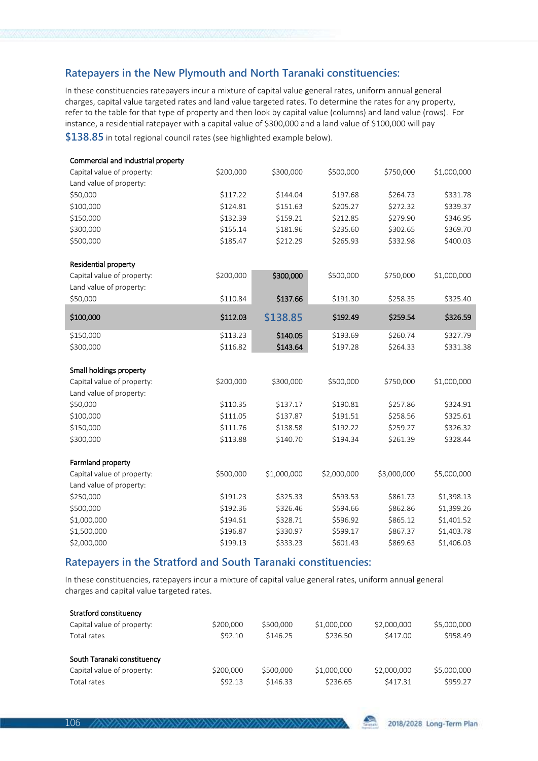## **Ratepayers in the New Plymouth and North Taranaki constituencies:**

In these constituencies ratepayers incur a mixture of capital value general rates, uniform annual general charges, capital value targeted rates and land value targeted rates. To determine the rates for any property, refer to the table for that type of property and then look by capital value (columns) and land value (rows). For instance, a residential ratepayer with a capital value of \$300,000 and a land value of \$100,000 will pay

**\$138.85** in total regional council rates (see highlighted example below).

| Commercial and industrial property |           |             |             |             |             |
|------------------------------------|-----------|-------------|-------------|-------------|-------------|
| Capital value of property:         | \$200,000 | \$300,000   | \$500,000   | \$750,000   | \$1,000,000 |
| Land value of property:            |           |             |             |             |             |
| \$50,000                           | \$117.22  | \$144.04    | \$197.68    | \$264.73    | \$331.78    |
| \$100,000                          | \$124.81  | \$151.63    | \$205.27    | \$272.32    | \$339.37    |
| \$150,000                          | \$132.39  | \$159.21    | \$212.85    | \$279.90    | \$346.95    |
| \$300,000                          | \$155.14  | \$181.96    | \$235.60    | \$302.65    | \$369.70    |
| \$500,000                          | \$185.47  | \$212.29    | \$265.93    | \$332.98    | \$400.03    |
| Residential property               |           |             |             |             |             |
| Capital value of property:         | \$200,000 | \$300,000   | \$500,000   | \$750,000   | \$1,000,000 |
| Land value of property:            |           |             |             |             |             |
| \$50,000                           | \$110.84  | \$137.66    | \$191.30    | \$258.35    | \$325.40    |
| \$100,000                          | \$112.03  | \$138.85    | \$192.49    | \$259.54    | \$326.59    |
| \$150,000                          | \$113.23  | \$140.05    | \$193.69    | \$260.74    | \$327.79    |
| \$300,000                          | \$116.82  | \$143.64    | \$197.28    | \$264.33    | \$331.38    |
| Small holdings property            |           |             |             |             |             |
| Capital value of property:         | \$200,000 | \$300,000   | \$500,000   | \$750,000   | \$1,000,000 |
| Land value of property:            |           |             |             |             |             |
| \$50,000                           | \$110.35  | \$137.17    | \$190.81    | \$257.86    | \$324.91    |
| \$100,000                          | \$111.05  | \$137.87    | \$191.51    | \$258.56    | \$325.61    |
| \$150,000                          | \$111.76  | \$138.58    | \$192.22    | \$259.27    | \$326.32    |
| \$300,000                          | \$113.88  | \$140.70    | \$194.34    | \$261.39    | \$328.44    |
| Farmland property                  |           |             |             |             |             |
| Capital value of property:         | \$500,000 | \$1,000,000 | \$2,000,000 | \$3,000,000 | \$5,000,000 |
| Land value of property:            |           |             |             |             |             |
| \$250,000                          | \$191.23  | \$325.33    | \$593.53    | \$861.73    | \$1,398.13  |
| \$500,000                          | \$192.36  | \$326.46    | \$594.66    | \$862.86    | \$1,399.26  |
| \$1,000,000                        | \$194.61  | \$328.71    | \$596.92    | \$865.12    | \$1,401.52  |
| \$1,500,000                        | \$196.87  | \$330.97    | \$599.17    | \$867.37    | \$1,403.78  |
| \$2,000,000                        | \$199.13  | \$333.23    | \$601.43    | \$869.63    | \$1,406.03  |
|                                    |           |             |             |             |             |

## **Ratepayers in the Stratford and South Taranaki constituencies:**

In these constituencies, ratepayers incur a mixture of capital value general rates, uniform annual general charges and capital value targeted rates.

| Stratford constituency      |           |           |             |             |             |
|-----------------------------|-----------|-----------|-------------|-------------|-------------|
| Capital value of property:  | \$200,000 | \$500,000 | \$1,000,000 | \$2,000,000 | \$5,000,000 |
| Total rates                 | \$92.10   | \$146.25  | \$236.50    | \$417.00    | \$958.49    |
| South Taranaki constituency |           |           |             |             |             |
| Capital value of property:  | \$200,000 | \$500,000 | \$1,000,000 | \$2,000,000 | \$5,000,000 |
| Total rates                 | \$92.13   | \$146.33  | \$236.65    | \$417.31    | \$959.27    |